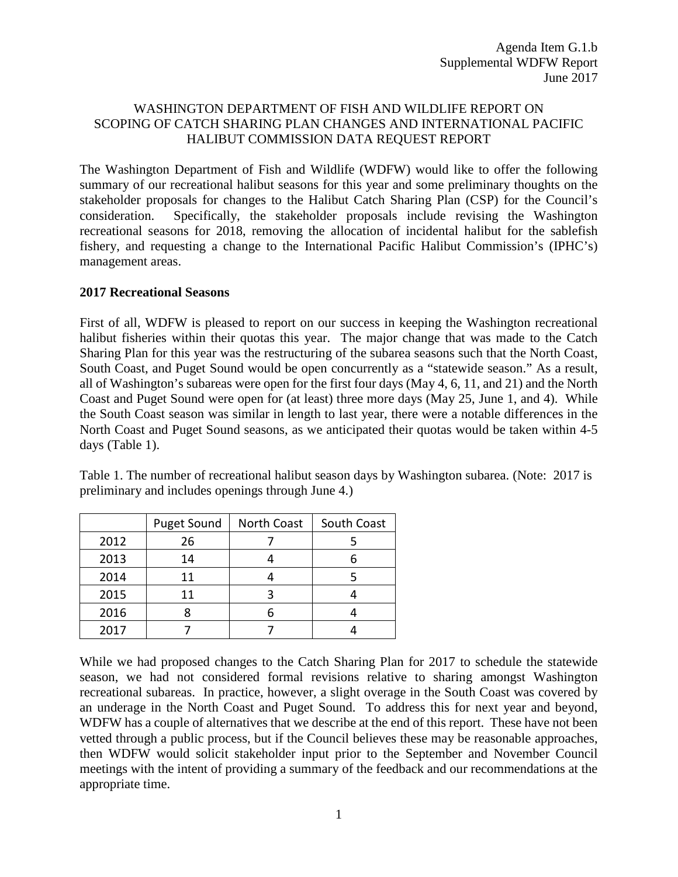# WASHINGTON DEPARTMENT OF FISH AND WILDLIFE REPORT ON SCOPING OF CATCH SHARING PLAN CHANGES AND INTERNATIONAL PACIFIC HALIBUT COMMISSION DATA REQUEST REPORT

The Washington Department of Fish and Wildlife (WDFW) would like to offer the following summary of our recreational halibut seasons for this year and some preliminary thoughts on the stakeholder proposals for changes to the Halibut Catch Sharing Plan (CSP) for the Council's consideration. Specifically, the stakeholder proposals include revising the Washington recreational seasons for 2018, removing the allocation of incidental halibut for the sablefish fishery, and requesting a change to the International Pacific Halibut Commission's (IPHC's) management areas.

#### **2017 Recreational Seasons**

First of all, WDFW is pleased to report on our success in keeping the Washington recreational halibut fisheries within their quotas this year. The major change that was made to the Catch Sharing Plan for this year was the restructuring of the subarea seasons such that the North Coast, South Coast, and Puget Sound would be open concurrently as a "statewide season." As a result, all of Washington's subareas were open for the first four days (May 4, 6, 11, and 21) and the North Coast and Puget Sound were open for (at least) three more days (May 25, June 1, and 4). While the South Coast season was similar in length to last year, there were a notable differences in the North Coast and Puget Sound seasons, as we anticipated their quotas would be taken within 4-5 days (Table 1).

Table 1. The number of recreational halibut season days by Washington subarea. (Note: 2017 is preliminary and includes openings through June 4.)

|      | <b>Puget Sound</b> | North Coast | South Coast |  |
|------|--------------------|-------------|-------------|--|
| 2012 | 26                 |             |             |  |
| 2013 | 14                 |             |             |  |
| 2014 | 11                 |             |             |  |
| 2015 | 11                 |             |             |  |
| 2016 |                    |             |             |  |
| 2017 |                    |             |             |  |

While we had proposed changes to the Catch Sharing Plan for 2017 to schedule the statewide season, we had not considered formal revisions relative to sharing amongst Washington recreational subareas. In practice, however, a slight overage in the South Coast was covered by an underage in the North Coast and Puget Sound. To address this for next year and beyond, WDFW has a couple of alternatives that we describe at the end of this report. These have not been vetted through a public process, but if the Council believes these may be reasonable approaches, then WDFW would solicit stakeholder input prior to the September and November Council meetings with the intent of providing a summary of the feedback and our recommendations at the appropriate time.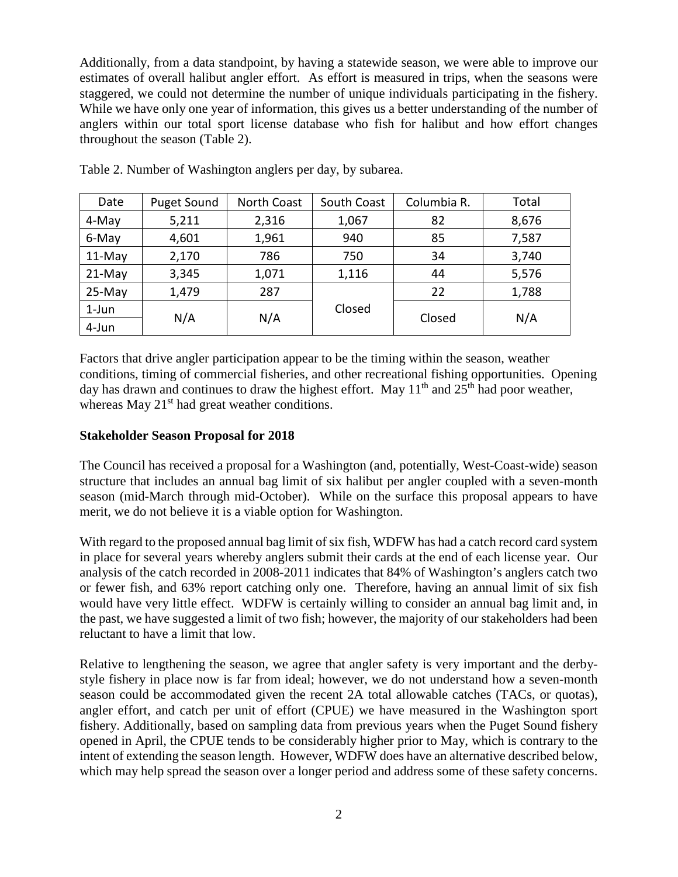Additionally, from a data standpoint, by having a statewide season, we were able to improve our estimates of overall halibut angler effort. As effort is measured in trips, when the seasons were staggered, we could not determine the number of unique individuals participating in the fishery. While we have only one year of information, this gives us a better understanding of the number of anglers within our total sport license database who fish for halibut and how effort changes throughout the season (Table 2).

| Date     | <b>Puget Sound</b> | <b>North Coast</b> | South Coast | Columbia R. | Total |
|----------|--------------------|--------------------|-------------|-------------|-------|
| 4-May    | 5,211              | 2,316              | 1,067       | 82          | 8,676 |
| 6-May    | 4,601              | 1,961              | 940         | 85          | 7,587 |
| $11-May$ | 2,170              | 786                | 750         | 34          | 3,740 |
| $21-May$ | 3,345              | 1,071              | 1,116       | 44          | 5,576 |
| $25-May$ | 1,479              | 287                |             | 22          | 1,788 |
| $1$ -Jun | N/A                | N/A                | Closed      | Closed      | N/A   |
| 4-Jun    |                    |                    |             |             |       |

Table 2. Number of Washington anglers per day, by subarea.

Factors that drive angler participation appear to be the timing within the season, weather conditions, timing of commercial fisheries, and other recreational fishing opportunities. Opening day has drawn and continues to draw the highest effort. May  $11<sup>th</sup>$  and  $25<sup>th</sup>$  had poor weather, whereas May  $21<sup>st</sup>$  had great weather conditions.

# **Stakeholder Season Proposal for 2018**

The Council has received a proposal for a Washington (and, potentially, West-Coast-wide) season structure that includes an annual bag limit of six halibut per angler coupled with a seven-month season (mid-March through mid-October). While on the surface this proposal appears to have merit, we do not believe it is a viable option for Washington.

With regard to the proposed annual bag limit of six fish, WDFW has had a catch record card system in place for several years whereby anglers submit their cards at the end of each license year. Our analysis of the catch recorded in 2008-2011 indicates that 84% of Washington's anglers catch two or fewer fish, and 63% report catching only one. Therefore, having an annual limit of six fish would have very little effect. WDFW is certainly willing to consider an annual bag limit and, in the past, we have suggested a limit of two fish; however, the majority of our stakeholders had been reluctant to have a limit that low.

Relative to lengthening the season, we agree that angler safety is very important and the derbystyle fishery in place now is far from ideal; however, we do not understand how a seven-month season could be accommodated given the recent 2A total allowable catches (TACs, or quotas), angler effort, and catch per unit of effort (CPUE) we have measured in the Washington sport fishery. Additionally, based on sampling data from previous years when the Puget Sound fishery opened in April, the CPUE tends to be considerably higher prior to May, which is contrary to the intent of extending the season length. However, WDFW does have an alternative described below, which may help spread the season over a longer period and address some of these safety concerns.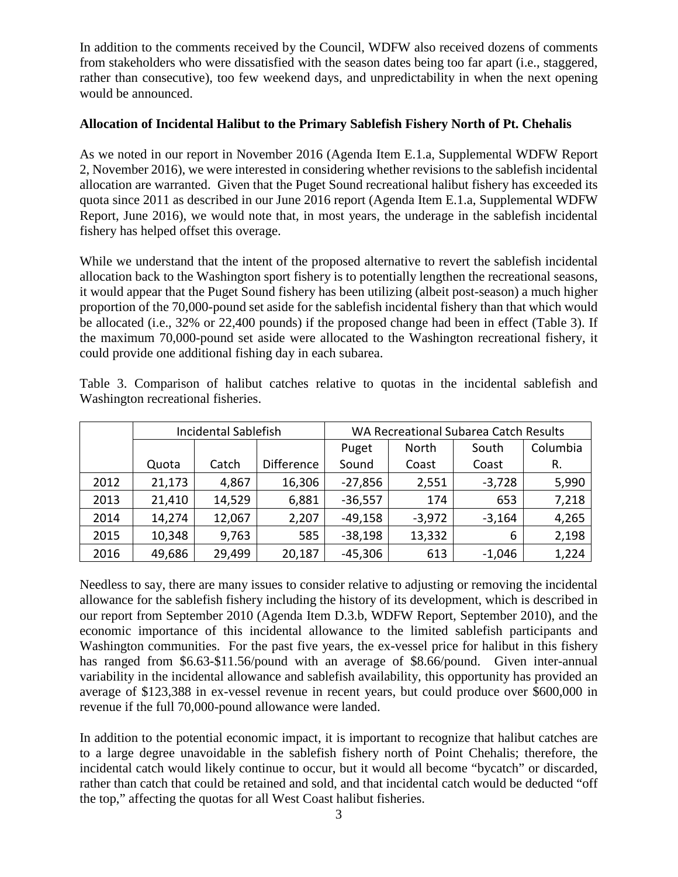In addition to the comments received by the Council, WDFW also received dozens of comments from stakeholders who were dissatisfied with the season dates being too far apart (i.e., staggered, rather than consecutive), too few weekend days, and unpredictability in when the next opening would be announced.

### **Allocation of Incidental Halibut to the Primary Sablefish Fishery North of Pt. Chehalis**

As we noted in our report in November 2016 (Agenda Item E.1.a, Supplemental WDFW Report 2, November 2016), we were interested in considering whether revisions to the sablefish incidental allocation are warranted. Given that the Puget Sound recreational halibut fishery has exceeded its quota since 2011 as described in our June 2016 report (Agenda Item E.1.a, Supplemental WDFW Report, June 2016), we would note that, in most years, the underage in the sablefish incidental fishery has helped offset this overage.

While we understand that the intent of the proposed alternative to revert the sablefish incidental allocation back to the Washington sport fishery is to potentially lengthen the recreational seasons, it would appear that the Puget Sound fishery has been utilizing (albeit post-season) a much higher proportion of the 70,000-pound set aside for the sablefish incidental fishery than that which would be allocated (i.e., 32% or 22,400 pounds) if the proposed change had been in effect (Table 3). If the maximum 70,000-pound set aside were allocated to the Washington recreational fishery, it could provide one additional fishing day in each subarea.

|      | <b>Incidental Sablefish</b> |        |                   | WA Recreational Subarea Catch Results |          |          |          |
|------|-----------------------------|--------|-------------------|---------------------------------------|----------|----------|----------|
|      |                             |        |                   | Puget                                 | North    | South    | Columbia |
|      | Quota                       | Catch  | <b>Difference</b> | Sound                                 | Coast    | Coast    | R.       |
| 2012 | 21,173                      | 4,867  | 16,306            | $-27,856$                             | 2,551    | $-3,728$ | 5,990    |
| 2013 | 21,410                      | 14,529 | 6,881             | $-36,557$                             | 174      | 653      | 7,218    |
| 2014 | 14,274                      | 12,067 | 2,207             | $-49,158$                             | $-3,972$ | $-3,164$ | 4,265    |
| 2015 | 10,348                      | 9,763  | 585               | $-38,198$                             | 13,332   | 6        | 2,198    |
| 2016 | 49,686                      | 29,499 | 20,187            | $-45,306$                             | 613      | $-1,046$ | 1,224    |

Table 3. Comparison of halibut catches relative to quotas in the incidental sablefish and Washington recreational fisheries.

Needless to say, there are many issues to consider relative to adjusting or removing the incidental allowance for the sablefish fishery including the history of its development, which is described in our report from September 2010 (Agenda Item D.3.b, WDFW Report, September 2010), and the economic importance of this incidental allowance to the limited sablefish participants and Washington communities. For the past five years, the ex-vessel price for halibut in this fishery has ranged from \$6.63-\$11.56/pound with an average of \$8.66/pound. Given inter-annual variability in the incidental allowance and sablefish availability, this opportunity has provided an average of \$123,388 in ex-vessel revenue in recent years, but could produce over \$600,000 in revenue if the full 70,000-pound allowance were landed.

In addition to the potential economic impact, it is important to recognize that halibut catches are to a large degree unavoidable in the sablefish fishery north of Point Chehalis; therefore, the incidental catch would likely continue to occur, but it would all become "bycatch" or discarded, rather than catch that could be retained and sold, and that incidental catch would be deducted "off the top," affecting the quotas for all West Coast halibut fisheries.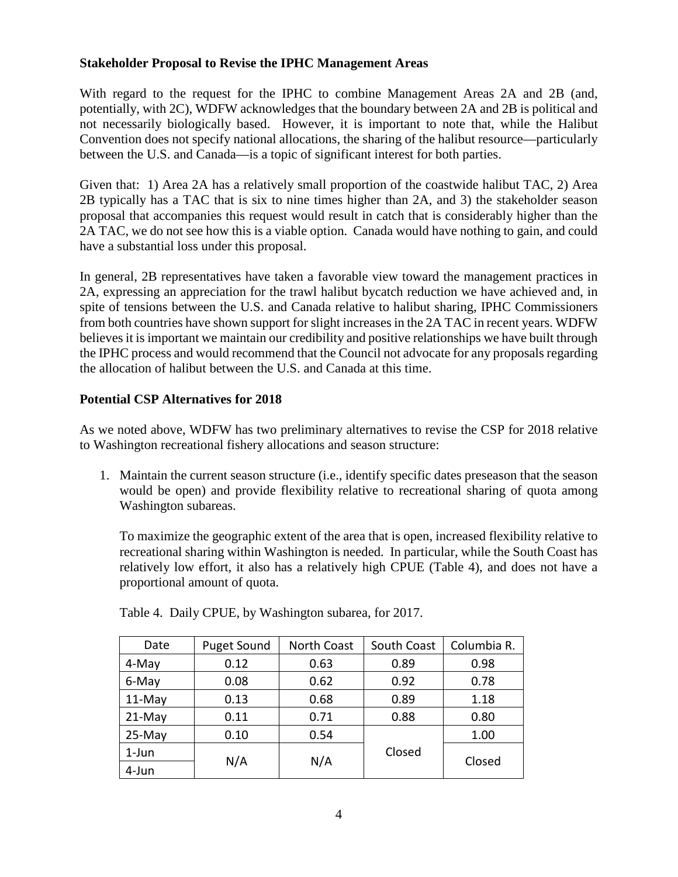# **Stakeholder Proposal to Revise the IPHC Management Areas**

With regard to the request for the IPHC to combine Management Areas 2A and 2B (and, potentially, with 2C), WDFW acknowledges that the boundary between 2A and 2B is political and not necessarily biologically based. However, it is important to note that, while the Halibut Convention does not specify national allocations, the sharing of the halibut resource—particularly between the U.S. and Canada—is a topic of significant interest for both parties.

Given that: 1) Area 2A has a relatively small proportion of the coastwide halibut TAC, 2) Area 2B typically has a TAC that is six to nine times higher than 2A, and 3) the stakeholder season proposal that accompanies this request would result in catch that is considerably higher than the 2A TAC, we do not see how this is a viable option. Canada would have nothing to gain, and could have a substantial loss under this proposal.

In general, 2B representatives have taken a favorable view toward the management practices in 2A, expressing an appreciation for the trawl halibut bycatch reduction we have achieved and, in spite of tensions between the U.S. and Canada relative to halibut sharing, IPHC Commissioners from both countries have shown support for slight increases in the 2A TAC in recent years. WDFW believes it is important we maintain our credibility and positive relationships we have built through the IPHC process and would recommend that the Council not advocate for any proposals regarding the allocation of halibut between the U.S. and Canada at this time.

# **Potential CSP Alternatives for 2018**

As we noted above, WDFW has two preliminary alternatives to revise the CSP for 2018 relative to Washington recreational fishery allocations and season structure:

1. Maintain the current season structure (i.e., identify specific dates preseason that the season would be open) and provide flexibility relative to recreational sharing of quota among Washington subareas.

To maximize the geographic extent of the area that is open, increased flexibility relative to recreational sharing within Washington is needed. In particular, while the South Coast has relatively low effort, it also has a relatively high CPUE (Table 4), and does not have a proportional amount of quota.

| Date     | Puget Sound | <b>North Coast</b> | South Coast | Columbia R. |
|----------|-------------|--------------------|-------------|-------------|
| 4-May    | 0.12        | 0.63               | 0.89        | 0.98        |
| 6-May    | 0.08        | 0.62               | 0.92        | 0.78        |
| $11-May$ | 0.13        | 0.68               | 0.89        | 1.18        |
| $21-May$ | 0.11        | 0.71               | 0.88        | 0.80        |
| $25-May$ | 0.10        | 0.54               |             | 1.00        |
| $1$ -Jun | N/A         | N/A                | Closed      | Closed      |
| 4-Jun    |             |                    |             |             |

Table 4. Daily CPUE, by Washington subarea, for 2017.